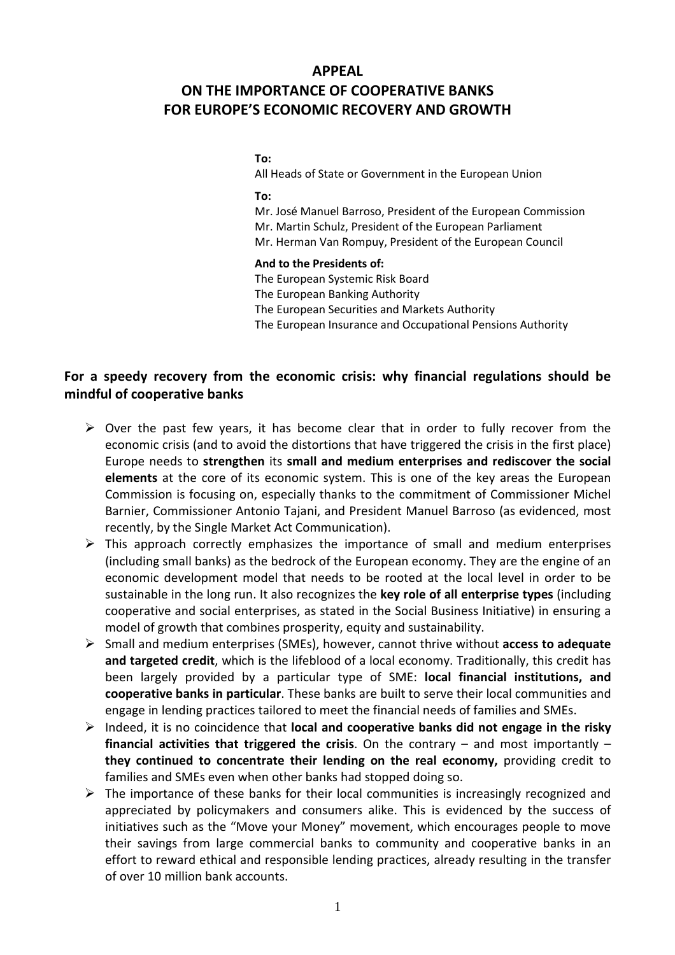### APPEAL

# ON THE IMPORTANCE OF COOPERATIVE BANKS FOR EUROPE'S ECONOMIC RECOVERY AND GROWTH

### To:

All Heads of State or Government in the European Union

To:

Mr. José Manuel Barroso, President of the European Commission Mr. Martin Schulz, President of the European Parliament Mr. Herman Van Rompuy, President of the European Council

#### And to the Presidents of:

The European Systemic Risk Board The European Banking Authority The European Securities and Markets Authority The European Insurance and Occupational Pensions Authority

## For a speedy recovery from the economic crisis: why financial regulations should be mindful of cooperative banks

- $\triangleright$  Over the past few years, it has become clear that in order to fully recover from the economic crisis (and to avoid the distortions that have triggered the crisis in the first place) Europe needs to strengthen its small and medium enterprises and rediscover the social elements at the core of its economic system. This is one of the key areas the European Commission is focusing on, especially thanks to the commitment of Commissioner Michel Barnier, Commissioner Antonio Tajani, and President Manuel Barroso (as evidenced, most recently, by the Single Market Act Communication).
- $\triangleright$  This approach correctly emphasizes the importance of small and medium enterprises (including small banks) as the bedrock of the European economy. They are the engine of an economic development model that needs to be rooted at the local level in order to be sustainable in the long run. It also recognizes the key role of all enterprise types (including cooperative and social enterprises, as stated in the Social Business Initiative) in ensuring a model of growth that combines prosperity, equity and sustainability.
- $\triangleright$  Small and medium enterprises (SMEs), however, cannot thrive without access to adequate and targeted credit, which is the lifeblood of a local economy. Traditionally, this credit has been largely provided by a particular type of SME: local financial institutions, and cooperative banks in particular. These banks are built to serve their local communities and engage in lending practices tailored to meet the financial needs of families and SMEs.
- $\triangleright$  Indeed, it is no coincidence that local and cooperative banks did not engage in the risky financial activities that triggered the crisis. On the contrary  $-$  and most importantly  $$ they continued to concentrate their lending on the real economy, providing credit to families and SMEs even when other banks had stopped doing so.
- $\triangleright$  The importance of these banks for their local communities is increasingly recognized and appreciated by policymakers and consumers alike. This is evidenced by the success of initiatives such as the "Move your Money" movement, which encourages people to move their savings from large commercial banks to community and cooperative banks in an effort to reward ethical and responsible lending practices, already resulting in the transfer of over 10 million bank accounts.